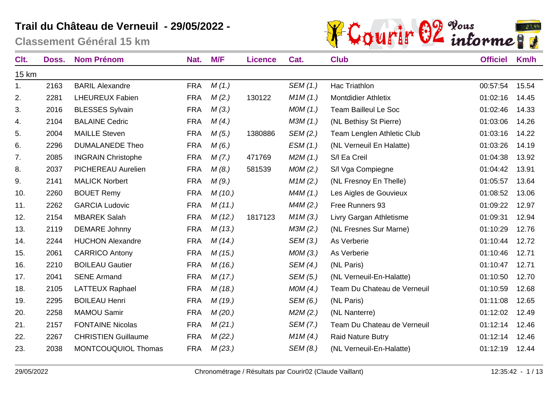

| Clt.  | Doss. | <b>Nom Prénom</b>          | Nat.       | M/F     | <b>Licence</b> | Cat.     | <b>Club</b>                 | <b>Officiel</b> | Km/h  |
|-------|-------|----------------------------|------------|---------|----------------|----------|-----------------------------|-----------------|-------|
| 15 km |       |                            |            |         |                |          |                             |                 |       |
| 1.    | 2163  | <b>BARIL Alexandre</b>     | <b>FRA</b> | M(1.)   |                | SEM (1.) | Hac Triathlon               | 00:57:54        | 15.54 |
| 2.    | 2281  | <b>LHEUREUX Fabien</b>     | <b>FRA</b> | M(2.)   | 130122         | M1M(1.)  | <b>Montdidier Athletix</b>  | 01:02:16        | 14.45 |
| 3.    | 2016  | <b>BLESSES Sylvain</b>     | <b>FRA</b> | M(3.)   |                | MOM(1.)  | <b>Team Bailleul Le Soc</b> | 01:02:46        | 14.33 |
| 4.    | 2104  | <b>BALAINE Cedric</b>      | <b>FRA</b> | M(4)    |                | M3M(1.)  | (NL Bethisy St Pierre)      | 01:03:06        | 14.26 |
| 5.    | 2004  | <b>MAILLE Steven</b>       | <b>FRA</b> | M(5.)   | 1380886        | SEM (2.) | Team Lenglen Athletic Club  | 01:03:16        | 14.22 |
| 6.    | 2296  | <b>DUMALANEDE Theo</b>     | <b>FRA</b> | M(6.)   |                | ESM(1.)  | (NL Verneuil En Halatte)    | 01:03:26        | 14.19 |
| 7.    | 2085  | <b>INGRAIN Christophe</b>  | <b>FRA</b> | M(7.)   | 471769         | M2M(1.)  | S/I Ea Creil                | 01:04:38        | 13.92 |
| 8.    | 2037  | PICHEREAU Aurelien         | <b>FRA</b> | M(8.)   | 581539         | MOM(2.)  | S/I Vga Compiegne           | 01:04:42        | 13.91 |
| 9.    | 2141  | <b>MALICK Norbert</b>      | <b>FRA</b> | M(9)    |                | M1M(2.)  | (NL Fresnoy En Thelle)      | 01:05:57        | 13.64 |
| 10.   | 2260  | <b>BOUET Remy</b>          | <b>FRA</b> | M(10.)  |                | M4M(1.)  | Les Aigles de Gouvieux      | 01:08:52        | 13.06 |
| 11.   | 2262  | <b>GARCIA Ludovic</b>      | <b>FRA</b> | M(11.)  |                | M4M(2.)  | Free Runners 93             | 01:09:22        | 12.97 |
| 12.   | 2154  | <b>MBAREK Salah</b>        | <b>FRA</b> | M(12.)  | 1817123        | M1M(3.)  | Livry Gargan Athletisme     | 01:09:31        | 12.94 |
| 13.   | 2119  | <b>DEMARE Johnny</b>       | <b>FRA</b> | M(13.)  |                | M3M(2.)  | (NL Fresnes Sur Marne)      | 01:10:29        | 12.76 |
| 14.   | 2244  | <b>HUCHON Alexandre</b>    | <b>FRA</b> | M(14)   |                | SEM (3.) | As Verberie                 | 01:10:44        | 12.72 |
| 15.   | 2061  | <b>CARRICO Antony</b>      | <b>FRA</b> | M(15.)  |                | MOM(3.)  | As Verberie                 | 01:10:46        | 12.71 |
| 16.   | 2210  | <b>BOILEAU Gautier</b>     | <b>FRA</b> | M(16.)  |                | SEM (4.) | (NL Paris)                  | 01:10:47        | 12.71 |
| 17.   | 2041  | <b>SENE Armand</b>         | <b>FRA</b> | M(17.)  |                | SEM (5.) | (NL Verneuil-En-Halatte)    | 01:10:50        | 12.70 |
| 18.   | 2105  | <b>LATTEUX Raphael</b>     | <b>FRA</b> | M(18.)  |                | MOM(4.)  | Team Du Chateau de Verneuil | 01:10:59        | 12.68 |
| 19.   | 2295  | <b>BOILEAU Henri</b>       | <b>FRA</b> | M (19.) |                | SEM (6.) | (NL Paris)                  | 01:11:08        | 12.65 |
| 20.   | 2258  | <b>MAMOU Samir</b>         | <b>FRA</b> | M(20.)  |                | M2M(2.)  | (NL Nanterre)               | 01:12:02        | 12.49 |
| 21.   | 2157  | <b>FONTAINE Nicolas</b>    | <b>FRA</b> | M(21.)  |                | SEM (7.) | Team Du Chateau de Verneuil | 01:12:14        | 12.46 |
| 22.   | 2267  | <b>CHRISTIEN Guillaume</b> | <b>FRA</b> | M(22.)  |                | M1M(4.)  | <b>Raid Nature Butry</b>    | 01:12:14        | 12.46 |
| 23.   | 2038  | MONTCOUQUIOL Thomas        | <b>FRA</b> | M(23.)  |                | SEM (8.) | (NL Verneuil-En-Halatte)    | 01:12:19        | 12.44 |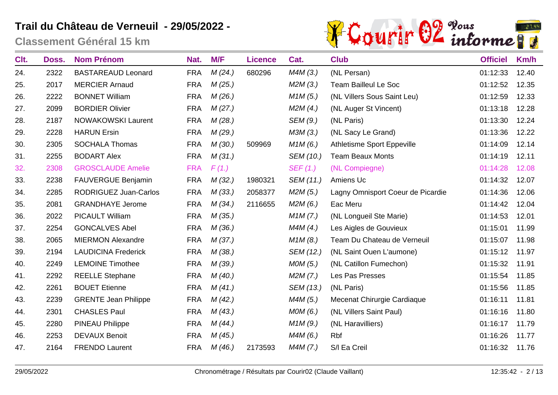

| Clt. | Doss. | <b>Nom Prénom</b>            | Nat.       | M/F     | <b>Licence</b> | Cat.      | <b>Club</b>                       | <b>Officiel</b> | Km/h  |
|------|-------|------------------------------|------------|---------|----------------|-----------|-----------------------------------|-----------------|-------|
| 24.  | 2322  | <b>BASTAREAUD Leonard</b>    | <b>FRA</b> | M(24)   | 680296         | M4M(3.)   | (NL Persan)                       | 01:12:33        | 12.40 |
| 25.  | 2017  | <b>MERCIER Arnaud</b>        | <b>FRA</b> | M(25.)  |                | M2M(3.)   | <b>Team Bailleul Le Soc</b>       | 01:12:52        | 12.35 |
| 26.  | 2222  | <b>BONNET William</b>        | <b>FRA</b> | M (26.) |                | M1M(5.)   | (NL Villers Sous Saint Leu)       | 01:12:59        | 12.33 |
| 27.  | 2099  | <b>BORDIER Olivier</b>       | <b>FRA</b> | M(27.)  |                | M2M(4.)   | (NL Auger St Vincent)             | 01:13:18        | 12.28 |
| 28.  | 2187  | <b>NOWAKOWSKI Laurent</b>    | <b>FRA</b> | M (28.) |                | SEM (9.)  | (NL Paris)                        | 01:13:30        | 12.24 |
| 29.  | 2228  | <b>HARUN Ersin</b>           | <b>FRA</b> | M (29.) |                | M3M(3.)   | (NL Sacy Le Grand)                | 01:13:36        | 12.22 |
| 30.  | 2305  | <b>SOCHALA Thomas</b>        | <b>FRA</b> | M(30.)  | 509969         | M1M(6.)   | <b>Athletisme Sport Eppeville</b> | 01:14:09        | 12.14 |
| 31.  | 2255  | <b>BODART Alex</b>           | <b>FRA</b> | M(31.)  |                | SEM (10.) | <b>Team Beaux Monts</b>           | 01:14:19        | 12.11 |
| 32.  | 2308  | <b>GROSCLAUDE Amelie</b>     | <b>FRA</b> | F(1.)   |                | SEF(1.)   | (NL Compiegne)                    | 01:14:28        | 12.08 |
| 33.  | 2238  | <b>FAUVERGUE Benjamin</b>    | <b>FRA</b> | M(32.)  | 1980321        | SEM (11.) | Amiens Uc                         | 01:14:32        | 12.07 |
| 34.  | 2285  | <b>RODRIGUEZ Juan-Carlos</b> | <b>FRA</b> | M(33.)  | 2058377        | M2M(5.)   | Lagny Omnisport Coeur de Picardie | 01:14:36        | 12.06 |
| 35.  | 2081  | <b>GRANDHAYE Jerome</b>      | <b>FRA</b> | M(34)   | 2116655        | M2M(6.)   | Eac Meru                          | 01:14:42        | 12.04 |
| 36.  | 2022  | <b>PICAULT William</b>       | <b>FRA</b> | M(35.)  |                | M1M(7.)   | (NL Longueil Ste Marie)           | 01:14:53        | 12.01 |
| 37.  | 2254  | <b>GONCALVES Abel</b>        | <b>FRA</b> | M(36.)  |                | M4M(4)    | Les Aigles de Gouvieux            | 01:15:01        | 11.99 |
| 38.  | 2065  | <b>MIERMON Alexandre</b>     | <b>FRA</b> | M(37.)  |                | M1M(8.)   | Team Du Chateau de Verneuil       | 01:15:07        | 11.98 |
| 39.  | 2194  | <b>LAUDICINA Frederick</b>   | <b>FRA</b> | M(38.)  |                | SEM (12.) | (NL Saint Ouen L'aumone)          | 01:15:12        | 11.97 |
| 40.  | 2249  | <b>LEMOINE Timothee</b>      | <b>FRA</b> | M(39.)  |                | MOM(5.)   | (NL Catillon Fumechon)            | 01:15:32        | 11.91 |
| 41.  | 2292  | <b>REELLE Stephane</b>       | <b>FRA</b> | M(40.)  |                | M2M(7.)   | Les Pas Presses                   | 01:15:54        | 11.85 |
| 42.  | 2261  | <b>BOUET Etienne</b>         | <b>FRA</b> | M(41.)  |                | SEM (13.) | (NL Paris)                        | 01:15:56        | 11.85 |
| 43.  | 2239  | <b>GRENTE Jean Philippe</b>  | <b>FRA</b> | M(42.)  |                | M4M(5.)   | Mecenat Chirurgie Cardiaque       | 01:16:11        | 11.81 |
| 44.  | 2301  | <b>CHASLES Paul</b>          | <b>FRA</b> | M(43.)  |                | MOM(6.)   | (NL Villers Saint Paul)           | 01:16:16        | 11.80 |
| 45.  | 2280  | PINEAU Philippe              | <b>FRA</b> | M(44)   |                | M1M(9.)   | (NL Haravilliers)                 | 01:16:17        | 11.79 |
| 46.  | 2253  | <b>DEVAUX Benoit</b>         | <b>FRA</b> | M(45.)  |                | M4M(6.)   | Rbf                               | 01:16:26        | 11.77 |
| 47.  | 2164  | <b>FRENDO Laurent</b>        | <b>FRA</b> | M(46.)  | 2173593        | M4M(7.)   | S/I Ea Creil                      | 01:16:32        | 11.76 |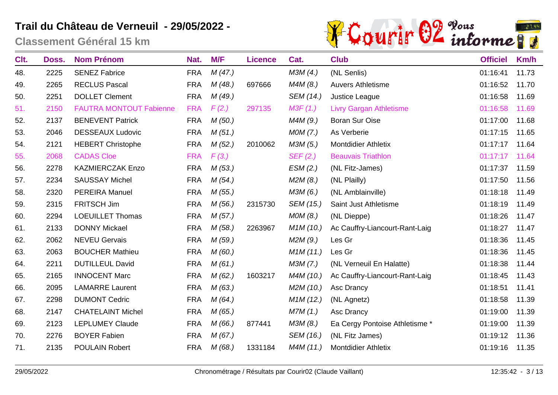

| Clt. | Doss. | <b>Nom Prénom</b>              | Nat.       | M/F     | <b>Licence</b> | Cat.      | <b>Club</b>                    | <b>Officiel</b> | Km/h  |
|------|-------|--------------------------------|------------|---------|----------------|-----------|--------------------------------|-----------------|-------|
| 48.  | 2225  | <b>SENEZ Fabrice</b>           | <b>FRA</b> | M(47.)  |                | M3M(4.)   | (NL Senlis)                    | 01:16:41        | 11.73 |
| 49.  | 2265  | <b>RECLUS Pascal</b>           | <b>FRA</b> | M(48.)  | 697666         | M4M(8.)   | <b>Auvers Athletisme</b>       | 01:16:52        | 11.70 |
| 50.  | 2251  | <b>DOLLET Clement</b>          | <b>FRA</b> | M (49.) |                | SEM (14.) | Justice League                 | 01:16:58        | 11.69 |
| 51.  | 2150  | <b>FAUTRA MONTOUT Fabienne</b> | <b>FRA</b> | F(2.)   | 297135         | M3F(1.)   | <b>Livry Gargan Athletisme</b> | 01:16:58        | 11.69 |
| 52.  | 2137  | <b>BENEVENT Patrick</b>        | <b>FRA</b> | M(50.)  |                | M4M (9.)  | <b>Boran Sur Oise</b>          | 01:17:00        | 11.68 |
| 53.  | 2046  | <b>DESSEAUX Ludovic</b>        | <b>FRA</b> | M(51.)  |                | MOM(7.)   | As Verberie                    | 01:17:15        | 11.65 |
| 54.  | 2121  | <b>HEBERT Christophe</b>       | <b>FRA</b> | M(52.)  | 2010062        | M3M (5.)  | <b>Montdidier Athletix</b>     | 01:17:17        | 11.64 |
| 55.  | 2068  | <b>CADAS Cloe</b>              | <b>FRA</b> | F(3.)   |                | SEF(2.)   | <b>Beauvais Triathlon</b>      | 01:17:17        | 11.64 |
| 56.  | 2278  | <b>KAZMIERCZAK Enzo</b>        | <b>FRA</b> | M(53.)  |                | ESM(2.)   | (NL Fitz-James)                | 01:17:37        | 11.59 |
| 57.  | 2234  | <b>SAUSSAY Michel</b>          | <b>FRA</b> | M(54)   |                | M2M(8.)   | (NL Plailly)                   | 01:17:50        | 11.56 |
| 58.  | 2320  | PEREIRA Manuel                 | <b>FRA</b> | M(55.)  |                | M3M (6.)  | (NL Amblainville)              | 01:18:18        | 11.49 |
| 59.  | 2315  | FRITSCH Jim                    | <b>FRA</b> | M(56.)  | 2315730        | SEM (15.) | Saint Just Athletisme          | 01:18:19        | 11.49 |
| 60.  | 2294  | <b>LOEUILLET Thomas</b>        | <b>FRA</b> | M(57.)  |                | MOM (8.)  | (NL Dieppe)                    | 01:18:26        | 11.47 |
| 61.  | 2133  | <b>DONNY Mickael</b>           | <b>FRA</b> | M(58.)  | 2263967        | M1M(10.)  | Ac Cauffry-Liancourt-Rant-Laig | 01:18:27        | 11.47 |
| 62.  | 2062  | <b>NEVEU Gervais</b>           | <b>FRA</b> | M (59.) |                | M2M (9.)  | Les Gr                         | 01:18:36        | 11.45 |
| 63.  | 2063  | <b>BOUCHER Mathieu</b>         | <b>FRA</b> | M(60.)  |                | M1M(11.)  | Les Gr                         | 01:18:36        | 11.45 |
| 64.  | 2211  | <b>DUTILLEUL David</b>         | <b>FRA</b> | M(61.)  |                | M3M (7.)  | (NL Verneuil En Halatte)       | 01:18:38        | 11.44 |
| 65.  | 2165  | <b>INNOCENT Marc</b>           | <b>FRA</b> | M(62.)  | 1603217        | M4M (10.) | Ac Cauffry-Liancourt-Rant-Laig | 01:18:45        | 11.43 |
| 66.  | 2095  | <b>LAMARRE Laurent</b>         | <b>FRA</b> | M(63.)  |                | M2M (10.) | Asc Drancy                     | 01:18:51        | 11.41 |
| 67.  | 2298  | <b>DUMONT Cedric</b>           | <b>FRA</b> | M(64)   |                | M1M(12.)  | (NL Agnetz)                    | 01:18:58        | 11.39 |
| 68.  | 2147  | <b>CHATELAINT Michel</b>       | <b>FRA</b> | M(65.)  |                | M7M (1.)  | Asc Drancy                     | 01:19:00        | 11.39 |
| 69.  | 2123  | <b>LEPLUMEY Claude</b>         | <b>FRA</b> | M(66.)  | 877441         | M3M (8.)  | Ea Cergy Pontoise Athletisme * | 01:19:00        | 11.39 |
| 70.  | 2276  | <b>BOYER Fabien</b>            | <b>FRA</b> | M(67.)  |                | SEM (16.) | (NL Fitz James)                | 01:19:12        | 11.36 |
| 71.  | 2135  | <b>POULAIN Robert</b>          | <b>FRA</b> | M(68.)  | 1331184        | M4M (11.) | <b>Montdidier Athletix</b>     | 01:19:16        | 11.35 |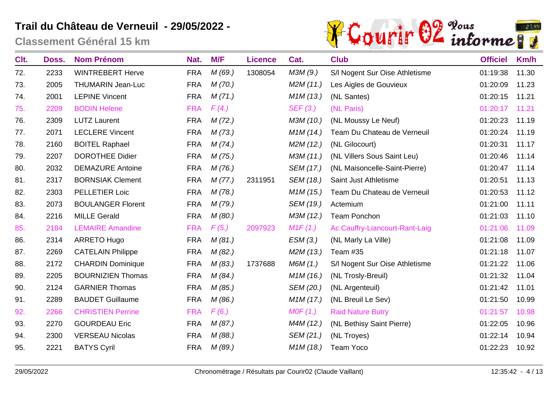

| Clt. | Doss. | <b>Nom Prénom</b>        | Nat.       | M/F     | <b>Licence</b> | Cat.      | <b>Club</b>                    | <b>Officiel</b> | Km/h  |
|------|-------|--------------------------|------------|---------|----------------|-----------|--------------------------------|-----------------|-------|
| 72.  | 2233  | <b>WINTREBERT Herve</b>  | <b>FRA</b> | M(69.)  | 1308054        | M3M (9.)  | S/I Nogent Sur Oise Athletisme | 01:19:38        | 11.30 |
| 73.  | 2005  | <b>THUMARIN Jean-Luc</b> | <b>FRA</b> | M(70.)  |                | M2M(11.)  | Les Aigles de Gouvieux         | 01:20:09        | 11.23 |
| 74.  | 2001  | <b>LEPINE Vincent</b>    | <b>FRA</b> | M(71.)  |                | M1M(13.)  | (NL Santes)                    | 01:20:15        | 11.21 |
| 75.  | 2209  | <b>BODIN Helene</b>      | <b>FRA</b> | F(4)    |                | SEF(3.)   | (NL Paris)                     | 01:20:17        | 11.21 |
| 76.  | 2309  | <b>LUTZ Laurent</b>      | <b>FRA</b> | M(72.)  |                | M3M (10.) | (NL Moussy Le Neuf)            | 01:20:23        | 11.19 |
| 77.  | 2071  | <b>LECLERE Vincent</b>   | <b>FRA</b> | M(73.)  |                | M1M(14.)  | Team Du Chateau de Verneuil    | 01:20:24        | 11.19 |
| 78.  | 2160  | <b>BOITEL Raphael</b>    | <b>FRA</b> | M(74)   |                | M2M(12.)  | (NL Gilocourt)                 | 01:20:31        | 11.17 |
| 79.  | 2207  | <b>DOROTHEE Didier</b>   | <b>FRA</b> | M(75.)  |                | M3M (11.) | (NL Villers Sous Saint Leu)    | 01:20:46        | 11.14 |
| 80.  | 2032  | <b>DEMAZURE Antoine</b>  | <b>FRA</b> | M(76.)  |                | SEM (17.) | (NL Maisoncelle-Saint-Pierre)  | 01:20:47        | 11.14 |
| 81.  | 2317  | <b>BORNSIAK Clement</b>  | <b>FRA</b> | M(77.)  | 2311951        | SEM (18.) | Saint Just Athletisme          | 01:20:51        | 11.13 |
| 82.  | 2303  | PELLETIER Loic           | <b>FRA</b> | M(78.)  |                | M1M(15.)  | Team Du Chateau de Verneuil    | 01:20:53        | 11.12 |
| 83.  | 2073  | <b>BOULANGER Florent</b> | <b>FRA</b> | M(79.)  |                | SEM (19.) | Actemium                       | 01:21:00        | 11.11 |
| 84.  | 2216  | <b>MILLE Gerald</b>      | <b>FRA</b> | M(80.)  |                | M3M (12.) | <b>Team Ponchon</b>            | 01:21:03        | 11.10 |
| 85.  | 2184  | <b>LEMAIRE Amandine</b>  | <b>FRA</b> | F(5.)   | 2097923        | M1F(1.)   | Ac Cauffry-Liancourt-Rant-Laig | 01:21:06        | 11.09 |
| 86.  | 2314  | <b>ARRETO Hugo</b>       | <b>FRA</b> | M(81.)  |                | ESM(3.)   | (NL Marly La Ville)            | 01:21:08        | 11.09 |
| 87.  | 2269  | <b>CATELAIN Philippe</b> | <b>FRA</b> | M(82.)  |                | M2M (13.) | Team #35                       | 01:21:18        | 11.07 |
| 88.  | 2172  | <b>CHARDIN Dominique</b> | <b>FRA</b> | M(83.)  | 1737688        | M6M (1.)  | S/I Nogent Sur Oise Athletisme | 01:21:22        | 11.06 |
| 89.  | 2205  | <b>BOURNIZIEN Thomas</b> | <b>FRA</b> | M(84)   |                | M1M(16.)  | (NL Trosly-Breuil)             | 01:21:32        | 11.04 |
| 90.  | 2124  | <b>GARNIER Thomas</b>    | <b>FRA</b> | M(85.)  |                | SEM (20.) | (NL Argenteuil)                | 01:21:42        | 11.01 |
| 91.  | 2289  | <b>BAUDET Guillaume</b>  | <b>FRA</b> | M (86.) |                | M1M(17.)  | (NL Breuil Le Sev)             | 01:21:50        | 10.99 |
| 92.  | 2266  | <b>CHRISTIEN Perrine</b> | <b>FRA</b> | F(6.)   |                | MOF(1.)   | <b>Raid Nature Butry</b>       | 01:21:57        | 10.98 |
| 93.  | 2270  | <b>GOURDEAU Eric</b>     | <b>FRA</b> | M(87.)  |                | M4M (12.) | (NL Bethisy Saint Pierre)      | 01:22:05        | 10.96 |
| 94.  | 2300  | <b>VERSEAU Nicolas</b>   | <b>FRA</b> | M (88.) |                | SEM (21.) | (NL Troyes)                    | 01:22:14        | 10.94 |
| 95.  | 2221  | <b>BATYS Cyril</b>       | <b>FRA</b> | M(89.)  |                | M1M(18.)  | <b>Team Yoco</b>               | 01:22:23        | 10.92 |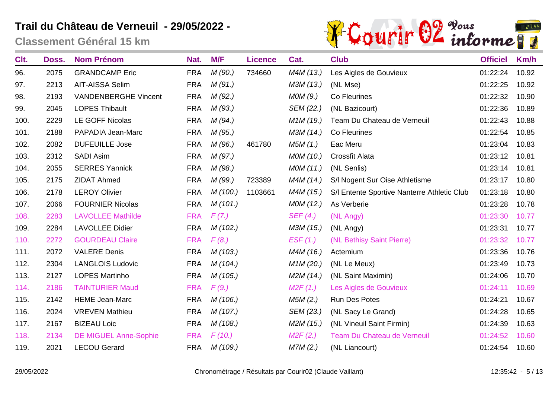

| Clt. | Doss. | <b>Nom Prénom</b>            | Nat.       | M/F      | <b>Licence</b> | Cat.                   | <b>Club</b>                                 | <b>Officiel</b> | Km/h  |
|------|-------|------------------------------|------------|----------|----------------|------------------------|---------------------------------------------|-----------------|-------|
| 96.  | 2075  | <b>GRANDCAMP Eric</b>        | <b>FRA</b> | M(90.)   | 734660         | M4M (13.)              | Les Aigles de Gouvieux                      | 01:22:24        | 10.92 |
| 97.  | 2213  | <b>AIT-AISSA Selim</b>       | <b>FRA</b> | M(91.)   |                | M3M (13.)              | (NL Mse)                                    | 01:22:25        | 10.92 |
| 98.  | 2193  | <b>VANDENBERGHE Vincent</b>  | <b>FRA</b> | M(92.)   |                | MOM(9.)                | Co Fleurines                                | 01:22:32        | 10.90 |
| 99.  | 2045  | <b>LOPES Thibault</b>        | <b>FRA</b> | M(93.)   |                | SEM (22.)              | (NL Bazicourt)                              | 01:22:36        | 10.89 |
| 100. | 2229  | <b>LE GOFF Nicolas</b>       | <b>FRA</b> | M(94)    |                | M <sub>1</sub> M (19.) | Team Du Chateau de Verneuil                 | 01:22:43        | 10.88 |
| 101. | 2188  | PAPADIA Jean-Marc            | <b>FRA</b> | M(95.)   |                | M3M (14.)              | Co Fleurines                                | 01:22:54        | 10.85 |
| 102. | 2082  | <b>DUFEUILLE Jose</b>        | <b>FRA</b> | M(96.)   | 461780         | M5M (1.)               | Eac Meru                                    | 01:23:04        | 10.83 |
| 103. | 2312  | <b>SADI Asim</b>             | <b>FRA</b> | M(97.)   |                | MOM (10.)              | <b>Crossfit Alata</b>                       | 01:23:12        | 10.81 |
| 104. | 2055  | <b>SERRES Yannick</b>        | <b>FRA</b> | M (98.)  |                | MOM (11.)              | (NL Senlis)                                 | 01:23:14        | 10.81 |
| 105. | 2175  | <b>ZIDAT Ahmed</b>           | <b>FRA</b> | M (99.)  | 723389         | M4M (14.)              | S/I Nogent Sur Oise Athletisme              | 01:23:17        | 10.80 |
| 106. | 2178  | <b>LEROY Olivier</b>         | <b>FRA</b> | M(100.)  | 1103661        | M4M (15.)              | S/I Entente Sportive Nanterre Athletic Club | 01:23:18        | 10.80 |
| 107. | 2066  | <b>FOURNIER Nicolas</b>      | <b>FRA</b> | M(101.)  |                | MOM (12.)              | As Verberie                                 | 01:23:28        | 10.78 |
| 108. | 2283  | <b>LAVOLLEE Mathilde</b>     | <b>FRA</b> | F(7)     |                | SEF(4.)                | (NL Angy)                                   | 01:23:30        | 10.77 |
| 109. | 2284  | <b>LAVOLLEE Didier</b>       | <b>FRA</b> | M(102.)  |                | M3M (15.)              | (NL Angy)                                   | 01:23:31        | 10.77 |
| 110. | 2272  | <b>GOURDEAU Claire</b>       | <b>FRA</b> | F(8.)    |                | EST(1.)                | (NL Bethisy Saint Pierre)                   | 01:23:32        | 10.77 |
| 111. | 2072  | <b>VALERE Denis</b>          | <b>FRA</b> | M(103.)  |                | M4M (16.)              | Actemium                                    | 01:23:36        | 10.76 |
| 112. | 2304  | <b>LANGLOIS Ludovic</b>      | <b>FRA</b> | M(104.)  |                | M <sub>1</sub> M (20.) | (NL Le Meux)                                | 01:23:49        | 10.73 |
| 113. | 2127  | <b>LOPES Martinho</b>        | <b>FRA</b> | M(105.)  |                | M2M (14.)              | (NL Saint Maximin)                          | 01:24:06        | 10.70 |
| 114. | 2186  | <b>TAINTURIER Maud</b>       | <b>FRA</b> | F(9.)    |                | M2F(1.)                | Les Aigles de Gouvieux                      | 01:24:11        | 10.69 |
| 115. | 2142  | <b>HEME Jean-Marc</b>        | <b>FRA</b> | M(106.)  |                | M5M(2.)                | Run Des Potes                               | 01:24:21        | 10.67 |
| 116. | 2024  | <b>VREVEN Mathieu</b>        | <b>FRA</b> | M(107.)  |                | SEM (23.)              | (NL Sacy Le Grand)                          | 01:24:28        | 10.65 |
| 117. | 2167  | <b>BIZEAU Loic</b>           | <b>FRA</b> | M(108.)  |                | M2M (15.)              | (NL Vineuil Saint Firmin)                   | 01:24:39        | 10.63 |
| 118. | 2134  | <b>DE MIGUEL Anne-Sophie</b> | <b>FRA</b> | F(10.)   |                | M2F(2.)                | Team Du Chateau de Verneuil                 | 01:24:52        | 10.60 |
| 119. | 2021  | <b>LECOU Gerard</b>          | <b>FRA</b> | M (109.) |                | M7M(2.)                | (NL Liancourt)                              | 01:24:54        | 10.60 |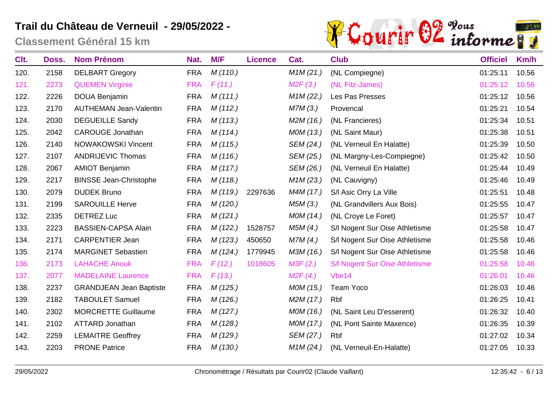

| Clt. | Doss. | <b>Nom Prénom</b>              | Nat.       | M/F      | <b>Licence</b> | Cat.      | <b>Club</b>                    | <b>Officiel</b> | Km/h  |
|------|-------|--------------------------------|------------|----------|----------------|-----------|--------------------------------|-----------------|-------|
| 120. | 2158  | <b>DELBART Gregory</b>         | <b>FRA</b> | M(110.)  |                | M1M (21.) | (NL Compiegne)                 | 01:25:11        | 10.56 |
| 121. | 2273  | <b>QUEMEN Virginie</b>         | <b>FRA</b> | F(11.)   |                | M2F(3.)   | (NL Fitz-James)                | 01:25:12        | 10.56 |
| 122. | 2226  | <b>DOUA Benjamin</b>           | <b>FRA</b> | M(111.)  |                | M1M (22.) | Les Pas Presses                | 01:25:12        | 10.56 |
| 123. | 2170  | <b>AUTHEMAN Jean-Valentin</b>  | <b>FRA</b> | M(112.)  |                | M7M(3.)   | Provencal                      | 01:25:21        | 10.54 |
| 124. | 2030  | <b>DEGUEILLE Sandy</b>         | <b>FRA</b> | M(113.)  |                | M2M (16.) | (NL Francieres)                | 01:25:34        | 10.51 |
| 125. | 2042  | <b>CAROUGE Jonathan</b>        | <b>FRA</b> | M(114.)  |                | MOM (13.) | (NL Saint Maur)                | 01:25:38        | 10.51 |
| 126. | 2140  | <b>NOWAKOWSKI Vincent</b>      | <b>FRA</b> | M(115.)  |                | SEM (24.) | (NL Verneuil En Halatte)       | 01:25:39        | 10.50 |
| 127. | 2107  | <b>ANDRIJEVIC Thomas</b>       | <b>FRA</b> | M(116.)  |                | SEM (25.) | (NL Margny-Les-Compiegne)      | 01:25:42        | 10.50 |
| 128. | 2067  | <b>AMIOT Benjamin</b>          | <b>FRA</b> | M(117.)  |                | SEM (26.) | (NL Verneuil En Halatte)       | 01:25:44        | 10.49 |
| 129. | 2217  | <b>BINSSE Jean-Christophe</b>  | <b>FRA</b> | M(118.)  |                | M1M (23.) | (NL Cauvigny)                  | 01:25:46        | 10.49 |
| 130. | 2079  | <b>DUDEK Bruno</b>             | <b>FRA</b> | M(119.)  | 2297636        | M4M (17.) | S/I Asic Orry La Ville         | 01:25:51        | 10.48 |
| 131. | 2199  | <b>SAROUILLE Herve</b>         | <b>FRA</b> | M(120.)  |                | M5M(3.)   | (NL Grandvillers Aux Bois)     | 01:25:55        | 10.47 |
| 132. | 2335  | <b>DETREZ Luc</b>              | <b>FRA</b> | M(121.)  |                | MOM (14.) | (NL Croye Le Foret)            | 01:25:57        | 10.47 |
| 133. | 2223  | <b>BASSIEN-CAPSA Alain</b>     | <b>FRA</b> | M(122.)  | 1528757        | M5M(4.)   | S/I Nogent Sur Oise Athletisme | 01:25:58        | 10.47 |
| 134. | 2171  | <b>CARPENTIER Jean</b>         | <b>FRA</b> | M(123.)  | 450650         | M7M(4.)   | S/I Nogent Sur Oise Athletisme | 01:25:58        | 10.46 |
| 135. | 2174  | <b>MARGINET Sebastien</b>      | <b>FRA</b> | M(124.)  | 1779945        | M3M (16.) | S/I Nogent Sur Oise Athletisme | 01:25:58        | 10.46 |
| 136. | 2173  | <b>LAHACHE Anouk</b>           | <b>FRA</b> | F(12.)   | 1018605        | M3F(2.)   | S/I Nogent Sur Oise Athletisme | 01:25:58        | 10.46 |
| 137. | 2077  | <b>MADELAINE Laurence</b>      | <b>FRA</b> | F(13.)   |                | M2F(4)    | Vbe <sub>14</sub>              | 01:26:01        | 10.46 |
| 138. | 2237  | <b>GRANDJEAN Jean Baptiste</b> | <b>FRA</b> | M (125.) |                | MOM (15.) | <b>Team Yoco</b>               | 01:26:03        | 10.46 |
| 139. | 2182  | <b>TABOULET Samuel</b>         | <b>FRA</b> | M(126.)  |                | M2M (17.) | Rbf                            | 01:26:25        | 10.41 |
| 140. | 2302  | <b>MORCRETTE Guillaume</b>     | <b>FRA</b> | M(127.)  |                | MOM (16.) | (NL Saint Leu D'esserent)      | 01:26:32        | 10.40 |
| 141. | 2102  | <b>ATTARD Jonathan</b>         | <b>FRA</b> | M(128.)  |                | MOM (17.) | (NL Pont Sainte Maxence)       | 01:26:35        | 10.39 |
| 142. | 2259  | <b>LEMAITRE Geoffrey</b>       | <b>FRA</b> | M (129.) |                | SEM (27.) | Rbf                            | 01:27:02        | 10.34 |
| 143. | 2203  | <b>PRONE Patrice</b>           | <b>FRA</b> | M(130.)  |                | M1M (24.) | (NL Verneuil-En-Halatte)       | 01:27:05        | 10.33 |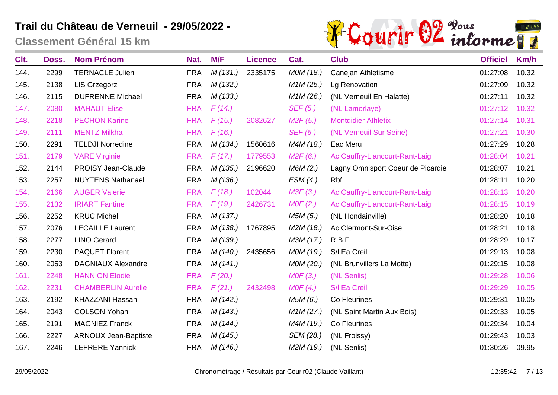

| Clt. | Doss. | <b>Nom Prénom</b>           | Nat.       | M/F      | <b>Licence</b> | Cat.                              | <b>Club</b>                       | <b>Officiel</b> | Km/h  |
|------|-------|-----------------------------|------------|----------|----------------|-----------------------------------|-----------------------------------|-----------------|-------|
| 144. | 2299  | <b>TERNACLE Julien</b>      | <b>FRA</b> | M(131.)  | 2335175        | MOM (18.)                         | Canejan Athletisme                | 01:27:08        | 10.32 |
| 145. | 2138  | <b>LIS Grzegorz</b>         | <b>FRA</b> | M(132.)  |                | M1M (25.)                         | Lg Renovation                     | 01:27:09        | 10.32 |
| 146. | 2115  | <b>DUFRENNE Michael</b>     | <b>FRA</b> | M(133.)  |                | M <sub>1</sub> M (26.)            | (NL Verneuil En Halatte)          | 01:27:11        | 10.32 |
| 147. | 2080  | <b>MAHAUT Elise</b>         | <b>FRA</b> | F(14)    |                | SEF (5.)                          | (NL Lamorlaye)                    | 01:27:12        | 10.32 |
| 148. | 2218  | <b>PECHON Karine</b>        | <b>FRA</b> | F(15.)   | 2082627        | M2F(5.)                           | <b>Montdidier Athletix</b>        | 01:27:14        | 10.31 |
| 149. | 2111  | <b>MENTZ Milkha</b>         | <b>FRA</b> | F(16.)   |                | SEF(6.)                           | (NL Verneuil Sur Seine)           | 01:27:21        | 10.30 |
| 150. | 2291  | <b>TELDJI Norredine</b>     | <b>FRA</b> | M (134.) | 1560616        | M4M (18.)                         | Eac Meru                          | 01:27:29        | 10.28 |
| 151. | 2179  | <b>VARE Virginie</b>        | <b>FRA</b> | F(17.)   | 1779553        | M2F(6.)                           | Ac Cauffry-Liancourt-Rant-Laig    | 01:28:04        | 10.21 |
| 152. | 2144  | <b>PROISY Jean-Claude</b>   | <b>FRA</b> | M(135.)  | 2196620        | M6M(2.)                           | Lagny Omnisport Coeur de Picardie | 01:28:07        | 10.21 |
| 153. | 2257  | <b>NUYTENS Nathanael</b>    | <b>FRA</b> | M(136.)  |                | ESM(4.)                           | Rbf                               | 01:28:11        | 10.20 |
| 154. | 2166  | <b>AUGER Valerie</b>        | <b>FRA</b> | F(18.)   | 102044         | M3F(3.)                           | Ac Cauffry-Liancourt-Rant-Laig    | 01:28:13        | 10.20 |
| 155. | 2132  | <b>IRIART Fantine</b>       | <b>FRA</b> | F(19.)   | 2426731        | MOF(2.)                           | Ac Cauffry-Liancourt-Rant-Laig    | 01:28:15        | 10.19 |
| 156. | 2252  | <b>KRUC Michel</b>          | <b>FRA</b> | M(137.)  |                | M5M (5.)                          | (NL Hondainville)                 | 01:28:20        | 10.18 |
| 157. | 2076  | <b>LECAILLE Laurent</b>     | <b>FRA</b> | M (138.) | 1767895        | M2M (18.)                         | Ac Clermont-Sur-Oise              | 01:28:21        | 10.18 |
| 158. | 2277  | <b>LINO Gerard</b>          | <b>FRA</b> | M (139.) |                | M3M (17.)                         | <b>RBF</b>                        | 01:28:29        | 10.17 |
| 159. | 2230  | <b>PAQUET Florent</b>       | <b>FRA</b> | M(140.)  | 2435656        | MOM (19.)                         | S/I Ea Creil                      | 01:29:13        | 10.08 |
| 160. | 2053  | <b>DAGNIAUX Alexandre</b>   | <b>FRA</b> | M(141.)  |                | MOM (20.)                         | (NL Brunvillers La Motte)         | 01:29:15        | 10.08 |
| 161. | 2248  | <b>HANNION Elodie</b>       | <b>FRA</b> | F(20.)   |                | MOF(3.)                           | (NL Senlis)                       | 01:29:28        | 10.06 |
| 162. | 2231  | <b>CHAMBERLIN Aurelie</b>   | <b>FRA</b> | F(21.)   | 2432498        | MOF(4.)                           | S/I Ea Creil                      | 01:29:29        | 10.05 |
| 163. | 2192  | <b>KHAZZANI Hassan</b>      | <b>FRA</b> | M(142.)  |                | M5M (6.)                          | Co Fleurines                      | 01:29:31        | 10.05 |
| 164. | 2043  | <b>COLSON Yohan</b>         | <b>FRA</b> | M(143.)  |                | M <sub>1</sub> M <sub>(27.)</sub> | (NL Saint Martin Aux Bois)        | 01:29:33        | 10.05 |
| 165. | 2191  | <b>MAGNIEZ Franck</b>       | <b>FRA</b> | M(144)   |                | M4M (19.)                         | Co Fleurines                      | 01:29:34        | 10.04 |
| 166. | 2227  | <b>ARNOUX Jean-Baptiste</b> | <b>FRA</b> | M (145.) |                | SEM (28.)                         | (NL Froissy)                      | 01:29:43        | 10.03 |
| 167. | 2246  | <b>LEFRERE Yannick</b>      | <b>FRA</b> | M(146.)  |                | M2M (19.)                         | (NL Senlis)                       | 01:30:26        | 09.95 |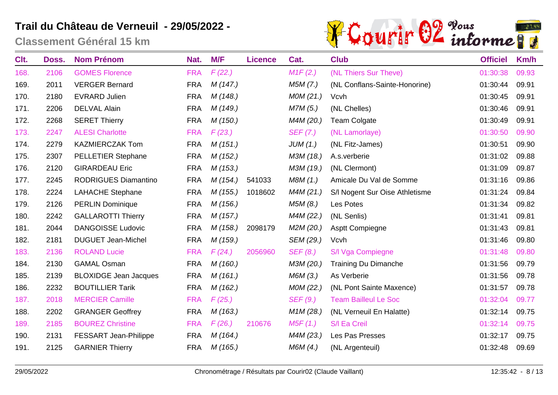

| Clt. | Doss. | <b>Nom Prénom</b>            | Nat.       | M/F      | <b>Licence</b> | Cat.                   | <b>Club</b>                    | <b>Officiel</b> | Km/h  |
|------|-------|------------------------------|------------|----------|----------------|------------------------|--------------------------------|-----------------|-------|
| 168. | 2106  | <b>GOMES Florence</b>        | <b>FRA</b> | F(22.)   |                | M1F(2.)                | (NL Thiers Sur Theve)          | 01:30:38        | 09.93 |
| 169. | 2011  | <b>VERGER Bernard</b>        | <b>FRA</b> | M(147.)  |                | M5M (7.)               | (NL Conflans-Sainte-Honorine)  | 01:30:44        | 09.91 |
| 170. | 2180  | <b>EVRARD Julien</b>         | <b>FRA</b> | M(148.)  |                | MOM(21.)               | Vcvh                           | 01:30:45        | 09.91 |
| 171. | 2206  | <b>DELVAL Alain</b>          | <b>FRA</b> | M (149.) |                | M7M(5.)                | (NL Chelles)                   | 01:30:46        | 09.91 |
| 172. | 2268  | <b>SERET Thierry</b>         | <b>FRA</b> | M(150.)  |                | M4M (20.)              | <b>Team Colgate</b>            | 01:30:49        | 09.91 |
| 173. | 2247  | <b>ALESI Charlotte</b>       | <b>FRA</b> | F(23.)   |                | SEF(7.)                | (NL Lamorlaye)                 | 01:30:50        | 09.90 |
| 174. | 2279  | <b>KAZMIERCZAK Tom</b>       | <b>FRA</b> | M(151.)  |                | JUM(1.)                | (NL Fitz-James)                | 01:30:51        | 09.90 |
| 175. | 2307  | <b>PELLETIER Stephane</b>    | <b>FRA</b> | M(152.)  |                | M3M (18.)              | A.s.verberie                   | 01:31:02        | 09.88 |
| 176. | 2120  | <b>GIRARDEAU Eric</b>        | <b>FRA</b> | M(153.)  |                | M3M (19.)              | (NL Clermont)                  | 01:31:09        | 09.87 |
| 177. | 2245  | <b>RODRIGUES Diamantino</b>  | <b>FRA</b> | M(154.)  | 541033         | M8M (1.)               | Amicale Du Val de Somme        | 01:31:16        | 09.86 |
| 178. | 2224  | <b>LAHACHE Stephane</b>      | <b>FRA</b> | M(155.)  | 1018602        | M4M (21.)              | S/I Nogent Sur Oise Athletisme | 01:31:24        | 09.84 |
| 179. | 2126  | <b>PERLIN Dominique</b>      | <b>FRA</b> | M(156.)  |                | M5M (8.)               | Les Potes                      | 01:31:34        | 09.82 |
| 180. | 2242  | <b>GALLAROTTI Thierry</b>    | <b>FRA</b> | M(157.)  |                | M4M (22.)              | (NL Senlis)                    | 01:31:41        | 09.81 |
| 181. | 2044  | <b>DANGOISSE Ludovic</b>     | <b>FRA</b> | M(158.)  | 2098179        | M2M (20.)              | <b>Asptt Compiegne</b>         | 01:31:43        | 09.81 |
| 182. | 2181  | <b>DUGUET Jean-Michel</b>    | <b>FRA</b> | M(159.)  |                | SEM (29.)              | Vcvh                           | 01:31:46        | 09.80 |
| 183. | 2136  | <b>ROLAND Lucie</b>          | <b>FRA</b> | F(24)    | 2056960        | SEF(8.)                | S/I Vga Compiegne              | 01:31:48        | 09.80 |
| 184. | 2130  | <b>GAMAL Osman</b>           | <b>FRA</b> | M(160.)  |                | M3M (20.)              | <b>Training Du Dimanche</b>    | 01:31:56        | 09.79 |
| 185. | 2139  | <b>BLOXIDGE Jean Jacques</b> | <b>FRA</b> | M(161.)  |                | M6M (3.)               | As Verberie                    | 01:31:56        | 09.78 |
| 186. | 2232  | <b>BOUTILLIER Tarik</b>      | <b>FRA</b> | M(162.)  |                | MOM (22.)              | (NL Pont Sainte Maxence)       | 01:31:57        | 09.78 |
| 187. | 2018  | <b>MERCIER Camille</b>       | <b>FRA</b> | F(25.)   |                | SEF(9.)                | <b>Team Bailleul Le Soc</b>    | 01:32:04        | 09.77 |
| 188. | 2202  | <b>GRANGER Geoffrey</b>      | <b>FRA</b> | M(163.)  |                | M <sub>1</sub> M (28.) | (NL Verneuil En Halatte)       | 01:32:14        | 09.75 |
| 189. | 2185  | <b>BOUREZ Christine</b>      | <b>FRA</b> | F(26.)   | 210676         | M5F(1.)                | S/I Ea Creil                   | 01:32:14        | 09.75 |
| 190. | 2131  | <b>FESSART Jean-Philippe</b> | <b>FRA</b> | M (164.) |                | M4M (23.)              | Les Pas Presses                | 01:32:17        | 09.75 |
| 191. | 2125  | <b>GARNIER Thierry</b>       | <b>FRA</b> | M(165.)  |                | M6M(4.)                | (NL Argenteuil)                | 01:32:48        | 09.69 |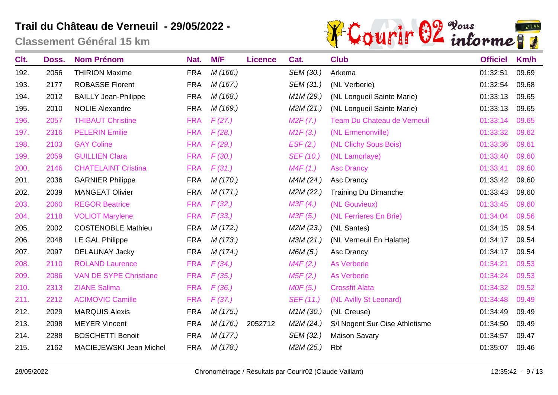

| Clt. | Doss. | <b>Nom Prénom</b>              | Nat.       | M/F      | <b>Licence</b> | Cat.                   | <b>Club</b>                        | <b>Officiel</b> | Km/h  |
|------|-------|--------------------------------|------------|----------|----------------|------------------------|------------------------------------|-----------------|-------|
| 192. | 2056  | <b>THIRION Maxime</b>          | <b>FRA</b> | M(166.)  |                | SEM (30.)              | Arkema                             | 01:32:51        | 09.69 |
| 193. | 2177  | <b>ROBASSE Florent</b>         | <b>FRA</b> | M(167.)  |                | SEM (31.)              | (NL Verberie)                      | 01:32:54        | 09.68 |
| 194. | 2012  | <b>BAILLY Jean-Philippe</b>    | <b>FRA</b> | M (168.) |                | M <sub>1</sub> M (29.) | (NL Longueil Sainte Marie)         | 01:33:13        | 09.65 |
| 195. | 2010  | <b>NOLIE Alexandre</b>         | <b>FRA</b> | M(169.)  |                | M2M(21.)               | (NL Longueil Sainte Marie)         | 01:33:13        | 09.65 |
| 196. | 2057  | <b>THIBAUT Christine</b>       | <b>FRA</b> | F(27)    |                | M2F(7.)                | <b>Team Du Chateau de Verneuil</b> | 01:33:14        | 09.65 |
| 197. | 2316  | <b>PELERIN Emilie</b>          | <b>FRA</b> | F(28.)   |                | M1F(3.)                | (NL Ermenonville)                  | 01:33:32        | 09.62 |
| 198. | 2103  | <b>GAY Coline</b>              | <b>FRA</b> | F(29.)   |                | EST(2.)                | (NL Clichy Sous Bois)              | 01:33:36        | 09.61 |
| 199. | 2059  | <b>GUILLIEN Clara</b>          | <b>FRA</b> | F(30.)   |                | SEF (10.)              | (NL Lamorlaye)                     | 01:33:40        | 09.60 |
| 200. | 2146  | <b>CHATELAINT Cristina</b>     | <b>FRA</b> | F(31.)   |                | M4F(1.)                | <b>Asc Drancy</b>                  | 01:33:41        | 09.60 |
| 201. | 2036  | <b>GARNIER Philippe</b>        | <b>FRA</b> | M (170.) |                | M4M (24.)              | Asc Drancy                         | 01:33:42        | 09.60 |
| 202. | 2039  | <b>MANGEAT Olivier</b>         | <b>FRA</b> | M(171.)  |                | M2M (22.)              | <b>Training Du Dimanche</b>        | 01:33:43        | 09.60 |
| 203. | 2060  | <b>REGOR Beatrice</b>          | <b>FRA</b> | F(32.)   |                | M3F(4.)                | (NL Gouvieux)                      | 01:33:45        | 09.60 |
| 204. | 2118  | <b>VOLIOT Marylene</b>         | <b>FRA</b> | F(33.)   |                | M3F(5.)                | (NL Ferrieres En Brie)             | 01:34:04        | 09.56 |
| 205. | 2002  | <b>COSTENOBLE Mathieu</b>      | <b>FRA</b> | M(172.)  |                | M2M (23.)              | (NL Santes)                        | 01:34:15        | 09.54 |
| 206. | 2048  | LE GAL Philippe                | <b>FRA</b> | M(173.)  |                | M3M (21.)              | (NL Verneuil En Halatte)           | 01:34:17        | 09.54 |
| 207. | 2097  | <b>DELAUNAY Jacky</b>          | <b>FRA</b> | M (174.) |                | M6M (5.)               | Asc Drancy                         | 01:34:17        | 09.54 |
| 208. | 2110  | <b>ROLAND Laurence</b>         | <b>FRA</b> | F(34)    |                | M4F(2.)                | <b>As Verberie</b>                 | 01:34:21        | 09.53 |
| 209. | 2086  | <b>VAN DE SYPE Christiane</b>  | <b>FRA</b> | F(35.)   |                | M5F(2.)                | <b>As Verberie</b>                 | 01:34:24        | 09.53 |
| 210. | 2313  | <b>ZIANE Salima</b>            | <b>FRA</b> | F(36.)   |                | MOF(5.)                | <b>Crossfit Alata</b>              | 01:34:32        | 09.52 |
| 211. | 2212  | <b>ACIMOVIC Camille</b>        | <b>FRA</b> | F(37.)   |                | SEF (11.)              | (NL Avilly St Leonard)             | 01:34:48        | 09.49 |
| 212. | 2029  | <b>MARQUIS Alexis</b>          | <b>FRA</b> | M(175.)  |                | M1M (30.)              | (NL Creuse)                        | 01:34:49        | 09.49 |
| 213. | 2098  | <b>MEYER Vincent</b>           | <b>FRA</b> | M (176.) | 2052712        | M2M (24.)              | S/I Nogent Sur Oise Athletisme     | 01:34:50        | 09.49 |
| 214. | 2288  | <b>BOSCHETTI Benoit</b>        | <b>FRA</b> | M(177.)  |                | SEM (32.)              | <b>Maison Savary</b>               | 01:34:57        | 09.47 |
| 215. | 2162  | <b>MACIEJEWSKI Jean Michel</b> | <b>FRA</b> | M(178.)  |                | M2M (25.)              | Rbf                                | 01:35:07        | 09.46 |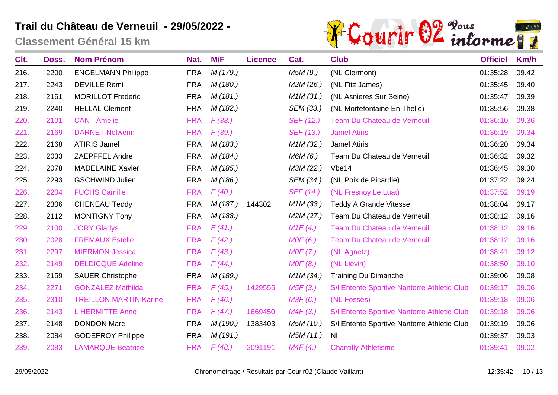

| Clt. | Doss. | <b>Nom Prénom</b>             | Nat.       | M/F      | <b>Licence</b> | Cat.                   | <b>Club</b>                                 | <b>Officiel</b> | Km/h  |
|------|-------|-------------------------------|------------|----------|----------------|------------------------|---------------------------------------------|-----------------|-------|
| 216. | 2200  | <b>ENGELMANN Philippe</b>     | <b>FRA</b> | M (179.) |                | M5M(9.)                | (NL Clermont)                               | 01:35:28        | 09.42 |
| 217. | 2243  | <b>DEVILLE Remi</b>           | <b>FRA</b> | M (180.) |                | M2M (26.)              | (NL Fitz James)                             | 01:35:45        | 09.40 |
| 218. | 2161  | <b>MORILLOT Frederic</b>      | <b>FRA</b> | M(181.)  |                | M1M (31.)              | (NL Asnieres Sur Seine)                     | 01:35:47        | 09.39 |
| 219. | 2240  | <b>HELLAL Clement</b>         | <b>FRA</b> | M (182.) |                | SEM (33.)              | (NL Mortefontaine En Thelle)                | 01:35:56        | 09.38 |
| 220. | 2101  | <b>CANT Amelie</b>            | <b>FRA</b> | F(38.)   |                | SEF (12.)              | Team Du Chateau de Verneuil                 | 01:36:10        | 09.36 |
| 221. | 2169  | <b>DARNET Nolwenn</b>         | <b>FRA</b> | F(39.)   |                | SEF (13.)              | <b>Jamel Atiris</b>                         | 01:36:19        | 09.34 |
| 222. | 2168  | <b>ATIRIS Jamel</b>           | <b>FRA</b> | M (183.) |                | M1M (32.)              | <b>Jamel Atiris</b>                         | 01:36:20        | 09.34 |
| 223. | 2033  | <b>ZAEPFFEL Andre</b>         | <b>FRA</b> | M (184.) |                | M6M (6.)               | Team Du Chateau de Verneuil                 | 01:36:32        | 09.32 |
| 224. | 2078  | <b>MADELAINE Xavier</b>       | <b>FRA</b> | M (185.) |                | M3M (22.)              | Vbe <sub>14</sub>                           | 01:36:45        | 09.30 |
| 225. | 2293  | <b>GSCHWIND Julien</b>        | <b>FRA</b> | M (186.) |                | SEM (34.)              | (NL Poix de Picardie)                       | 01:37:22        | 09.24 |
| 226. | 2204  | <b>FUCHS Camille</b>          | <b>FRA</b> | F(40.)   |                | SEF (14.)              | (NL Fresnoy Le Luat)                        | 01:37:52        | 09.19 |
| 227. | 2306  | <b>CHENEAU Teddy</b>          | <b>FRA</b> | M (187.) | 144302         | M <sub>1</sub> M (33.) | <b>Teddy A Grande Vitesse</b>               | 01:38:04        | 09.17 |
| 228. | 2112  | <b>MONTIGNY Tony</b>          | <b>FRA</b> | M (188.) |                | M2M (27.)              | Team Du Chateau de Verneuil                 | 01:38:12        | 09.16 |
| 229. | 2100  | <b>JORY Gladys</b>            | <b>FRA</b> | F(41.)   |                | M1F(4)                 | Team Du Chateau de Verneuil                 | 01:38:12        | 09.16 |
| 230. | 2028  | <b>FREMAUX Estelle</b>        | <b>FRA</b> | F(42.)   |                | MOF(6.)                | Team Du Chateau de Verneuil                 | 01:38:12        | 09.16 |
| 231. | 2297  | <b>MIERMON Jessica</b>        | <b>FRA</b> | F(43.)   |                | MOF(7.)                | (NL Agnetz)                                 | 01:38:41        | 09.12 |
| 232. | 2149  | <b>DELDICQUE Adeline</b>      | <b>FRA</b> | F(44)    |                | MOF(8.)                | (NL Lievin)                                 | 01:38:50        | 09.10 |
| 233. | 2159  | <b>SAUER Christophe</b>       | <b>FRA</b> | M (189.) |                | M1M (34.)              | <b>Training Du Dimanche</b>                 | 01:39:06        | 09.08 |
| 234. | 2271  | <b>GONZALEZ Mathilda</b>      | <b>FRA</b> | F(45.)   | 1429555        | M5F(3.)                | S/I Entente Sportive Nanterre Athletic Club | 01:39:17        | 09.06 |
| 235. | 2310  | <b>TREILLON MARTIN Karine</b> | <b>FRA</b> | F(46.)   |                | M3F(6.)                | (NL Fosses)                                 | 01:39:18        | 09.06 |
| 236. | 2143  | <b>L HERMITTE Anne</b>        | <b>FRA</b> | F(47)    | 1669450        | M4F(3.)                | S/I Entente Sportive Nanterre Athletic Club | 01:39:18        | 09.06 |
| 237. | 2148  | <b>DONDON Marc</b>            | <b>FRA</b> | M (190.) | 1383403        | M5M (10.)              | S/I Entente Sportive Nanterre Athletic Club | 01:39:19        | 09.06 |
| 238. | 2084  | <b>GODEFROY Philippe</b>      | <b>FRA</b> | M (191.) |                | M5M (11.)              | <b>NI</b>                                   | 01:39:37        | 09.03 |
| 239. | 2083  | <b>LAMARQUE Beatrice</b>      | <b>FRA</b> | F(48.)   | 2091191        | M4F(4.)                | <b>Chantilly Athletisme</b>                 | 01:39:41        | 09.02 |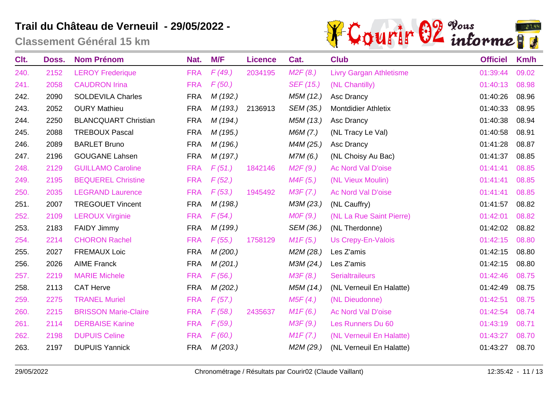

| Clt. | Doss. | <b>Nom Prénom</b>           | Nat.       | M/F      | <b>Licence</b> | Cat.      | <b>Club</b>                    | <b>Officiel</b> | Km/h  |
|------|-------|-----------------------------|------------|----------|----------------|-----------|--------------------------------|-----------------|-------|
| 240. | 2152  | <b>LEROY Frederique</b>     | <b>FRA</b> | F(49.)   | 2034195        | M2F(8.)   | <b>Livry Gargan Athletisme</b> | 01:39:44        | 09.02 |
| 241. | 2058  | <b>CAUDRON Irina</b>        | <b>FRA</b> | F(50.)   |                | SEF (15.) | (NL Chantilly)                 | 01:40:13        | 08.98 |
| 242. | 2090  | <b>SOLDEVILA Charles</b>    | <b>FRA</b> | M (192.) |                | M5M (12.) | Asc Drancy                     | 01:40:26        | 08.96 |
| 243. | 2052  | <b>OURY Mathieu</b>         | <b>FRA</b> | M (193.) | 2136913        | SEM (35.) | <b>Montdidier Athletix</b>     | 01:40:33        | 08.95 |
| 244. | 2250  | <b>BLANCQUART Christian</b> | <b>FRA</b> | M (194.) |                | M5M (13.) | Asc Drancy                     | 01:40:38        | 08.94 |
| 245. | 2088  | <b>TREBOUX Pascal</b>       | <b>FRA</b> | M (195.) |                | M6M (7.)  | (NL Tracy Le Val)              | 01:40:58        | 08.91 |
| 246. | 2089  | <b>BARLET Bruno</b>         | <b>FRA</b> | M (196.) |                | M4M (25.) | Asc Drancy                     | 01:41:28        | 08.87 |
| 247. | 2196  | <b>GOUGANE Lahsen</b>       | <b>FRA</b> | M (197.) |                | M7M (6.)  | (NL Choisy Au Bac)             | 01:41:37        | 08.85 |
| 248. | 2129  | <b>GUILLAMO Caroline</b>    | <b>FRA</b> | F(51.)   | 1842146        | M2F(9.)   | Ac Nord Val D'oise             | 01:41:41        | 08.85 |
| 249. | 2195  | <b>BEQUEREL Christine</b>   | <b>FRA</b> | F(52.)   |                | M4F(5.)   | (NL Vieux Moulin)              | 01:41:41        | 08.85 |
| 250. | 2035  | <b>LEGRAND Laurence</b>     | <b>FRA</b> | F(53.)   | 1945492        | M3F(7.)   | Ac Nord Val D'oise             | 01:41:41        | 08.85 |
| 251. | 2007  | <b>TREGOUET Vincent</b>     | <b>FRA</b> | M (198.) |                | M3M (23.) | (NL Cauffry)                   | 01:41:57        | 08.82 |
| 252. | 2109  | <b>LEROUX Virginie</b>      | <b>FRA</b> | F(54)    |                | MOF(9.)   | (NL La Rue Saint Pierre)       | 01:42:01        | 08.82 |
| 253. | 2183  | <b>FAIDY Jimmy</b>          | <b>FRA</b> | M (199.) |                | SEM (36.) | (NL Therdonne)                 | 01:42:02        | 08.82 |
| 254. | 2214  | <b>CHORON Rachel</b>        | <b>FRA</b> | F(55.)   | 1758129        | M1F(5.)   | <b>Us Crepy-En-Valois</b>      | 01:42:15        | 08.80 |
| 255. | 2027  | <b>FREMAUX Loic</b>         | <b>FRA</b> | M(200.)  |                | M2M (28.) | Les Z'amis                     | 01:42:15        | 08.80 |
| 256. | 2026  | <b>AIME Franck</b>          | <b>FRA</b> | M(201.)  |                | M3M (24.) | Les Z'amis                     | 01:42:15        | 08.80 |
| 257. | 2219  | <b>MARIE Michele</b>        | <b>FRA</b> | F(56.)   |                | M3F(8.)   | <b>Serialtraileurs</b>         | 01:42:46        | 08.75 |
| 258. | 2113  | <b>CAT Herve</b>            | <b>FRA</b> | M(202.)  |                | M5M (14.) | (NL Verneuil En Halatte)       | 01:42:49        | 08.75 |
| 259. | 2275  | <b>TRANEL Muriel</b>        | <b>FRA</b> | F(57)    |                | M5F(4.)   | (NL Dieudonne)                 | 01:42:51        | 08.75 |
| 260. | 2215  | <b>BRISSON Marie-Claire</b> | <b>FRA</b> | F(58.)   | 2435637        | M1F(6.)   | Ac Nord Val D'oise             | 01:42:54        | 08.74 |
| 261. | 2114  | <b>DERBAISE Karine</b>      | <b>FRA</b> | F(59.)   |                | M3F(9.)   | Les Runners Du 60              | 01:43:19        | 08.71 |
| 262. | 2198  | <b>DUPUIS Celine</b>        | <b>FRA</b> | F(60.)   |                | M1F(7.)   | (NL Verneuil En Halatte)       | 01:43:27        | 08.70 |
| 263. | 2197  | <b>DUPUIS Yannick</b>       | <b>FRA</b> | M(203.)  |                | M2M (29.) | (NL Verneuil En Halatte)       | 01:43:27        | 08.70 |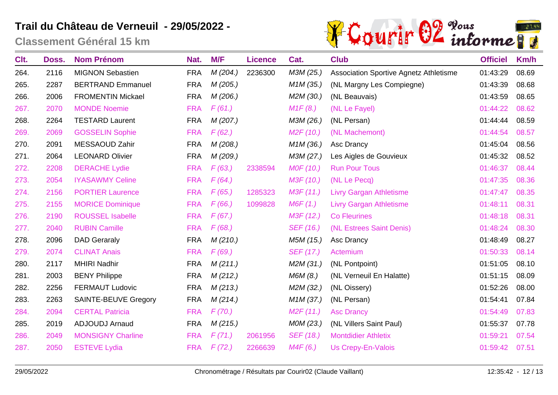

| Clt. | Doss. | <b>Nom Prénom</b>           | Nat.       | M/F      | <b>Licence</b> | Cat.                   | <b>Club</b>                            | <b>Officiel</b> | Km/h  |
|------|-------|-----------------------------|------------|----------|----------------|------------------------|----------------------------------------|-----------------|-------|
| 264. | 2116  | <b>MIGNON Sebastien</b>     | <b>FRA</b> | M(204.)  | 2236300        | M3M (25.)              | Association Sportive Agnetz Athletisme | 01:43:29        | 08.69 |
| 265. | 2287  | <b>BERTRAND Emmanuel</b>    | <b>FRA</b> | M(205.)  |                | M <sub>1</sub> M (35.) | (NL Margny Les Compiegne)              | 01:43:39        | 08.68 |
| 266. | 2006  | <b>FROMENTIN Mickael</b>    | <b>FRA</b> | M (206.) |                | M2M (30.)              | (NL Beauvais)                          | 01:43:59        | 08.65 |
| 267. | 2070  | <b>MONDE Noemie</b>         | <b>FRA</b> | F(61.)   |                | M1F(8.)                | (NL Le Fayel)                          | 01:44:22        | 08.62 |
| 268. | 2264  | <b>TESTARD Laurent</b>      | <b>FRA</b> | M (207.) |                | M3M (26.)              | (NL Persan)                            | 01:44:44        | 08.59 |
| 269. | 2069  | <b>GOSSELIN Sophie</b>      | <b>FRA</b> | F(62.)   |                | M2F(10.)               | (NL Machemont)                         | 01:44:54        | 08.57 |
| 270. | 2091  | MESSAOUD Zahir              | <b>FRA</b> | M(208.)  |                | M <sub>1</sub> M (36.) | Asc Drancy                             | 01:45:04        | 08.56 |
| 271. | 2064  | <b>LEONARD Olivier</b>      | <b>FRA</b> | M (209.) |                | M3M (27.)              | Les Aigles de Gouvieux                 | 01:45:32        | 08.52 |
| 272. | 2208  | <b>DERACHE Lydie</b>        | <b>FRA</b> | F(63.)   | 2338594        | MOF (10.)              | <b>Run Pour Tous</b>                   | 01:46:37        | 08.44 |
| 273. | 2054  | <b>IYASAWMY Celine</b>      | <b>FRA</b> | F(64)    |                | M3F (10.)              | (NL Le Pecq)                           | 01:47:35        | 08.36 |
| 274. | 2156  | <b>PORTIER Laurence</b>     | <b>FRA</b> | F(65.)   | 1285323        | M3F (11.)              | <b>Livry Gargan Athletisme</b>         | 01:47:47        | 08.35 |
| 275. | 2155  | <b>MORICE Dominique</b>     | <b>FRA</b> | F(66.)   | 1099828        | M6F(1.)                | <b>Livry Gargan Athletisme</b>         | 01:48:11        | 08.31 |
| 276. | 2190  | <b>ROUSSEL Isabelle</b>     | <b>FRA</b> | F(67)    |                | M3F (12.)              | <b>Co Fleurines</b>                    | 01:48:18        | 08.31 |
| 277. | 2040  | <b>RUBIN Camille</b>        | <b>FRA</b> | F(68.)   |                | SEF (16.)              | (NL Estrees Saint Denis)               | 01:48:24        | 08.30 |
| 278. | 2096  | <b>DAD Geraraly</b>         | <b>FRA</b> | M(210.)  |                | M5M (15.)              | Asc Drancy                             | 01:48:49        | 08.27 |
| 279. | 2074  | <b>CLINAT Anais</b>         | <b>FRA</b> | F(69.)   |                | SEF (17.)              | Actemium                               | 01:50:33        | 08.14 |
| 280. | 2117  | <b>MHIRI Nadhir</b>         | <b>FRA</b> | M(211.)  |                | M2M (31.)              | (NL Pontpoint)                         | 01:51:05        | 08.10 |
| 281. | 2003  | <b>BENY Philippe</b>        | <b>FRA</b> | M(212.)  |                | M6M (8.)               | (NL Verneuil En Halatte)               | 01:51:15        | 08.09 |
| 282. | 2256  | <b>FERMAUT Ludovic</b>      | <b>FRA</b> | M(213.)  |                | M2M (32.)              | (NL Oissery)                           | 01:52:26        | 08.00 |
| 283. | 2263  | <b>SAINTE-BEUVE Gregory</b> | <b>FRA</b> | M(214.)  |                | M <sub>1</sub> M (37.) | (NL Persan)                            | 01:54:41        | 07.84 |
| 284. | 2094  | <b>CERTAL Patricia</b>      | <b>FRA</b> | F(70.)   |                | M2F(11.)               | <b>Asc Drancy</b>                      | 01:54:49        | 07.83 |
| 285. | 2019  | <b>ADJOUDJ Arnaud</b>       | <b>FRA</b> | M(215.)  |                | MOM (23.)              | (NL Villers Saint Paul)                | 01:55:37        | 07.78 |
| 286. | 2049  | <b>MONSIGNY Charline</b>    | <b>FRA</b> | F(71.)   | 2061956        | SEF (18.)              | <b>Montdidier Athletix</b>             | 01:59:21        | 07.54 |
| 287. | 2050  | <b>ESTEVE Lydia</b>         | <b>FRA</b> | F(72.)   | 2266639        | M4F(6.)                | <b>Us Crepy-En-Valois</b>              | 01:59:42        | 07.51 |